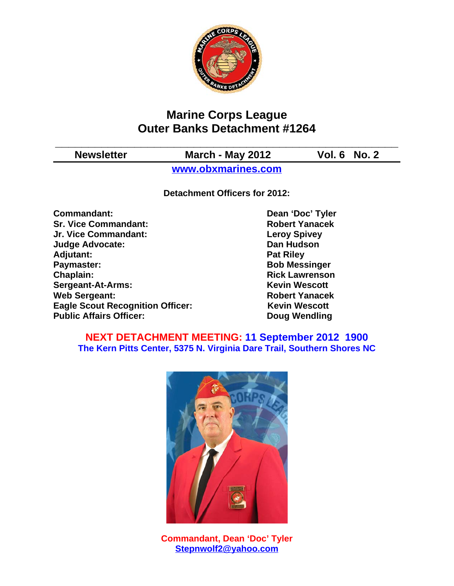

# **Marine Corps League Outer Banks Detachment #1264**

**\_\_\_\_\_\_\_\_\_\_\_\_\_\_\_\_\_\_\_\_\_\_\_\_\_\_\_\_\_\_\_\_\_\_\_\_\_\_\_\_\_\_\_\_\_\_\_\_\_\_\_\_**

**Newsletter March - May 2012 Vol. 6 No. 2**

**www.obxmarines.com**

**Detachment Officers for 2012:**

**Commandant:** Dean 'Doc' Tyler **Sr. Vice Commandant: Robert Yanacek Jr. Vice Commandant: Leroy Spivey Judge Advocate: Dan Hudson** Adjutant: **Pat Riley Paymaster:** Bob Messinger **Chaplain: Chaplain: Rick Lawrenson Sergeant-At-Arms:** Kevin Wescott **Web Sergeant: Robert Yanacek Eagle Scout Recognition Officer:** Kevin Wescott **Public Affairs Officer:** Doug Wendling

### **NEXT DETACHMENT MEETING: 11 September 2012 1900 The Kern Pitts Center, 5375 N. Virginia Dare Trail, Southern Shores NC**



**Commandant, Dean 'Doc' Tyler Stepnwolf2@yahoo.com**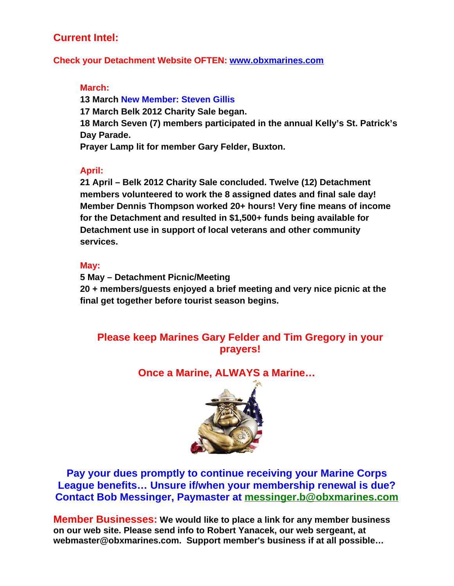# **Current Intel:**

#### **Check your Detachment Website OFTEN: www.obxmarines.com**

#### **March:**

**13 March New Member: Steven Gillis 17 March Belk 2012 Charity Sale began. 18 March Seven (7) members participated in the annual Kelly's St. Patrick's Day Parade. Prayer Lamp lit for member Gary Felder, Buxton.**

### **April:**

**21 April – Belk 2012 Charity Sale concluded. Twelve (12) Detachment members volunteered to work the 8 assigned dates and final sale day! Member Dennis Thompson worked 20+ hours! Very fine means of income for the Detachment and resulted in \$1,500+ funds being available for Detachment use in support of local veterans and other community services.**

### **May:**

**5 May – Detachment Picnic/Meeting 20 + members/guests enjoyed a brief meeting and very nice picnic at the final get together before tourist season begins.**

# **Please keep Marines Gary Felder and Tim Gregory in your prayers!**

**Once a Marine, ALWAYS a Marine…**



**Pay your dues promptly to continue receiving your Marine Corps League benefits… Unsure if/when your membership renewal is due? Contact Bob Messinger, Paymaster at messinger.b@obxmarines.com**

**Member Businesses: We would like to place a link for any member business on our web site. Please send info to Robert Yanacek, our web sergeant, at webmaster@obxmarines.com. Support member's business if at all possible…**